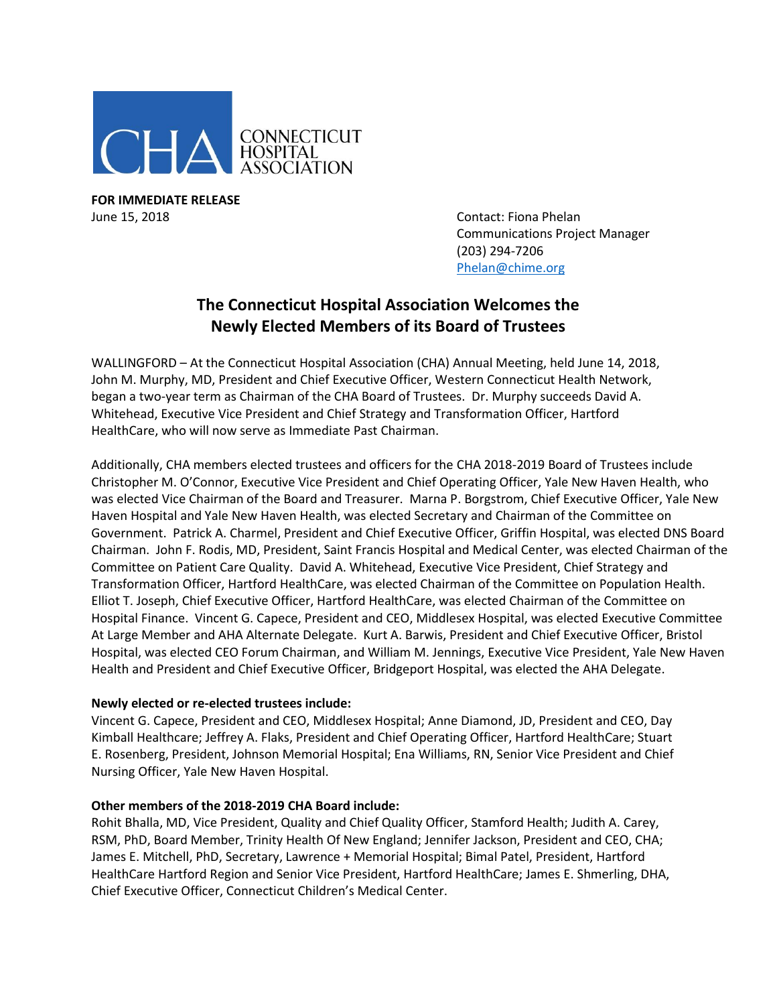

**FOR IMMEDIATE RELEASE** June 15, 2018 **Contact: Fiona Phelan** 

Communications Project Manager (203) 294-7206 [Phelan@chime.org](mailto:Phelan@chime.org)

## **The Connecticut Hospital Association Welcomes the Newly Elected Members of its Board of Trustees**

WALLINGFORD – At the Connecticut Hospital Association (CHA) Annual Meeting, held June 14, 2018, John M. Murphy, MD, President and Chief Executive Officer, Western Connecticut Health Network, began a two-year term as Chairman of the CHA Board of Trustees. Dr. Murphy succeeds David A. Whitehead, Executive Vice President and Chief Strategy and Transformation Officer, Hartford HealthCare, who will now serve as Immediate Past Chairman.

Additionally, CHA members elected trustees and officers for the CHA 2018-2019 Board of Trustees include Christopher M. O'Connor, Executive Vice President and Chief Operating Officer, Yale New Haven Health, who was elected Vice Chairman of the Board and Treasurer. Marna P. Borgstrom, Chief Executive Officer, Yale New Haven Hospital and Yale New Haven Health, was elected Secretary and Chairman of the Committee on Government. Patrick A. Charmel, President and Chief Executive Officer, Griffin Hospital, was elected DNS Board Chairman. John F. Rodis, MD, President, Saint Francis Hospital and Medical Center, was elected Chairman of the Committee on Patient Care Quality. David A. Whitehead, Executive Vice President, Chief Strategy and Transformation Officer, Hartford HealthCare, was elected Chairman of the Committee on Population Health. Elliot T. Joseph, Chief Executive Officer, Hartford HealthCare, was elected Chairman of the Committee on Hospital Finance. Vincent G. Capece, President and CEO, Middlesex Hospital, was elected Executive Committee At Large Member and AHA Alternate Delegate. Kurt A. Barwis, President and Chief Executive Officer, Bristol Hospital, was elected CEO Forum Chairman, and William M. Jennings, Executive Vice President, Yale New Haven Health and President and Chief Executive Officer, Bridgeport Hospital, was elected the AHA Delegate.

## **Newly elected or re-elected trustees include:**

Vincent G. Capece, President and CEO, Middlesex Hospital; Anne Diamond, JD, President and CEO, Day Kimball Healthcare; Jeffrey A. Flaks, President and Chief Operating Officer, Hartford HealthCare; Stuart E. Rosenberg, President, Johnson Memorial Hospital; Ena Williams, RN, Senior Vice President and Chief Nursing Officer, Yale New Haven Hospital.

## **Other members of the 2018-2019 CHA Board include:**

Rohit Bhalla, MD, Vice President, Quality and Chief Quality Officer, Stamford Health; Judith A. Carey, RSM, PhD, Board Member, Trinity Health Of New England; Jennifer Jackson, President and CEO, CHA; James E. Mitchell, PhD, Secretary, Lawrence + Memorial Hospital; Bimal Patel, President, Hartford HealthCare Hartford Region and Senior Vice President, Hartford HealthCare; James E. Shmerling, DHA, Chief Executive Officer, Connecticut Children's Medical Center.